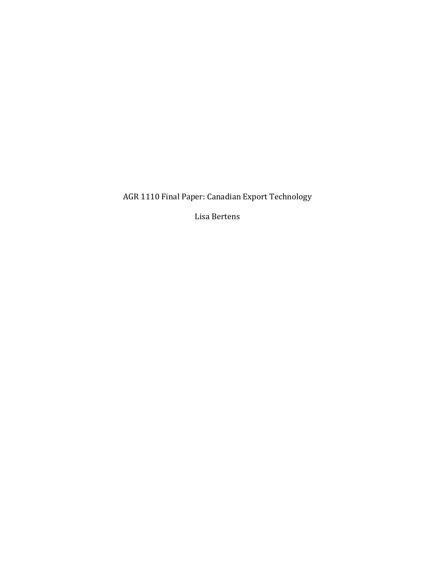AGR 1110 Final Paper: Canadian Export Technology

Lisa Bertens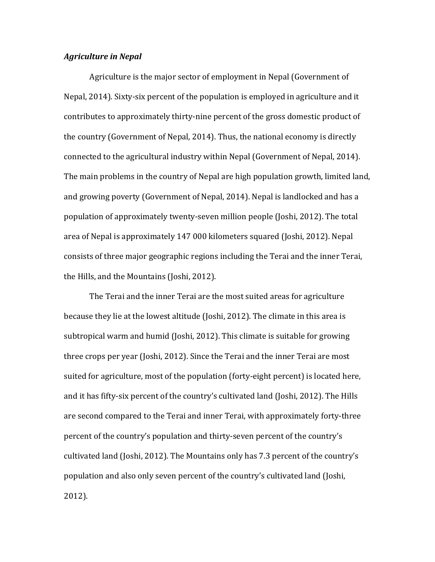### *Agriculture in Nepal*

Agriculture is the major sector of employment in Nepal (Government of Nepal, 2014). Sixty-six percent of the population is employed in agriculture and it contributes to approximately thirty-nine percent of the gross domestic product of the country (Government of Nepal, 2014). Thus, the national economy is directly connected to the agricultural industry within Nepal (Government of Nepal, 2014). The main problems in the country of Nepal are high population growth, limited land, and growing poverty (Government of Nepal, 2014). Nepal is landlocked and has a population of approximately twenty-seven million people (Joshi, 2012). The total area of Nepal is approximately 147 000 kilometers squared (Joshi, 2012). Nepal consists of three major geographic regions including the Terai and the inner Terai, the Hills, and the Mountains (Joshi, 2012).

The Terai and the inner Terai are the most suited areas for agriculture because they lie at the lowest altitude (Joshi, 2012). The climate in this area is subtropical warm and humid (Joshi, 2012). This climate is suitable for growing three crops per year (Joshi, 2012). Since the Terai and the inner Terai are most suited for agriculture, most of the population (forty-eight percent) is located here, and it has fifty-six percent of the country's cultivated land (Joshi, 2012). The Hills are second compared to the Terai and inner Terai, with approximately forty-three percent of the country's population and thirty-seven percent of the country's cultivated land (Joshi, 2012). The Mountains only has 7.3 percent of the country's population and also only seven percent of the country's cultivated land (Joshi, 2012).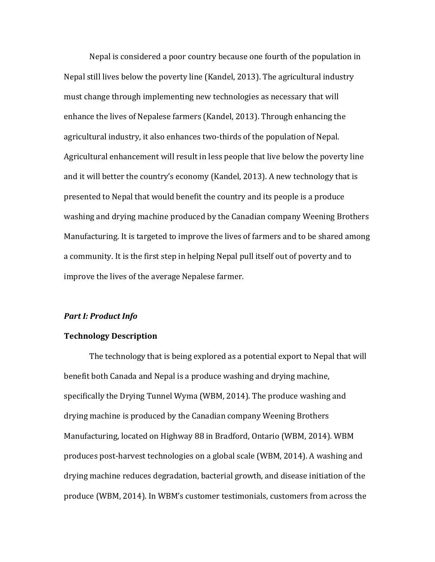Nepal is considered a poor country because one fourth of the population in Nepal still lives below the poverty line (Kandel, 2013). The agricultural industry must change through implementing new technologies as necessary that will enhance the lives of Nepalese farmers (Kandel, 2013). Through enhancing the agricultural industry, it also enhances two-thirds of the population of Nepal. Agricultural enhancement will result in less people that live below the poverty line and it will better the country's economy (Kandel, 2013). A new technology that is presented to Nepal that would benefit the country and its people is a produce washing and drying machine produced by the Canadian company Weening Brothers Manufacturing. It is targeted to improve the lives of farmers and to be shared among a community. It is the first step in helping Nepal pull itself out of poverty and to improve the lives of the average Nepalese farmer.

# *Part I: Product Info*

# **Technology Description**

The technology that is being explored as a potential export to Nepal that will benefit both Canada and Nepal is a produce washing and drying machine, specifically the Drying Tunnel Wyma (WBM, 2014). The produce washing and drying machine is produced by the Canadian company Weening Brothers Manufacturing, located on Highway 88 in Bradford, Ontario (WBM, 2014). WBM produces post-harvest technologies on a global scale (WBM, 2014). A washing and drying machine reduces degradation, bacterial growth, and disease initiation of the produce (WBM, 2014). In WBM's customer testimonials, customers from across the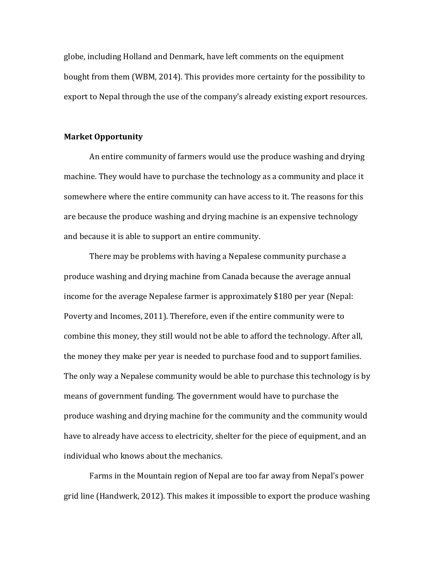globe, including Holland and Denmark, have left comments on the equipment bought from them (WBM, 2014). This provides more certainty for the possibility to export to Nepal through the use of the company's already existing export resources.

## **Market Opportunity**

An entire community of farmers would use the produce washing and drying machine. They would have to purchase the technology as a community and place it somewhere where the entire community can have access to it. The reasons for this are because the produce washing and drying machine is an expensive technology and because it is able to support an entire community.

There may be problems with having a Nepalese community purchase a produce washing and drying machine from Canada because the average annual income for the average Nepalese farmer is approximately \$180 per year (Nepal: Poverty and Incomes, 2011). Therefore, even if the entire community were to combine this money, they still would not be able to afford the technology. After all, the money they make per year is needed to purchase food and to support families. The only way a Nepalese community would be able to purchase this technology is by means of government funding. The government would have to purchase the produce washing and drying machine for the community and the community would have to already have access to electricity, shelter for the piece of equipment, and an individual who knows about the mechanics.

Farms in the Mountain region of Nepal are too far away from Nepal's power grid line (Handwerk, 2012). This makes it impossible to export the produce washing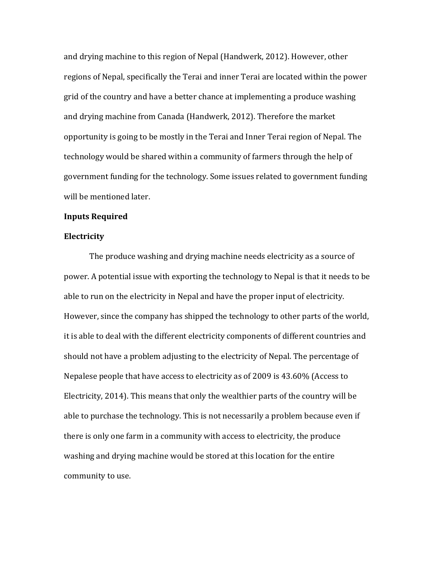and drying machine to this region of Nepal (Handwerk, 2012). However, other regions of Nepal, specifically the Terai and inner Terai are located within the power grid of the country and have a better chance at implementing a produce washing and drying machine from Canada (Handwerk, 2012). Therefore the market opportunity is going to be mostly in the Terai and Inner Terai region of Nepal. The technology would be shared within a community of farmers through the help of government funding for the technology. Some issues related to government funding will be mentioned later.

### **Inputs Required**

#### **Electricity**

The produce washing and drying machine needs electricity as a source of power. A potential issue with exporting the technology to Nepal is that it needs to be able to run on the electricity in Nepal and have the proper input of electricity. However, since the company has shipped the technology to other parts of the world, it is able to deal with the different electricity components of different countries and should not have a problem adjusting to the electricity of Nepal. The percentage of Nepalese people that have access to electricity as of 2009 is 43.60% (Access to Electricity, 2014). This means that only the wealthier parts of the country will be able to purchase the technology. This is not necessarily a problem because even if there is only one farm in a community with access to electricity, the produce washing and drying machine would be stored at this location for the entire community to use.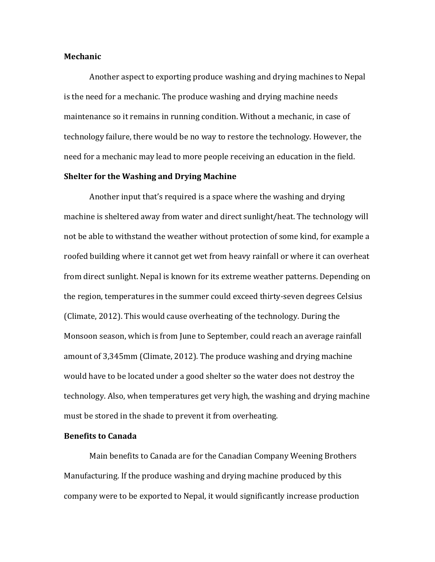#### **Mechanic**

Another aspect to exporting produce washing and drying machines to Nepal is the need for a mechanic. The produce washing and drying machine needs maintenance so it remains in running condition. Without a mechanic, in case of technology failure, there would be no way to restore the technology. However, the need for a mechanic may lead to more people receiving an education in the field.

### **Shelter for the Washing and Drying Machine**

Another input that's required is a space where the washing and drying machine is sheltered away from water and direct sunlight/heat. The technology will not be able to withstand the weather without protection of some kind, for example a roofed building where it cannot get wet from heavy rainfall or where it can overheat from direct sunlight. Nepal is known for its extreme weather patterns. Depending on the region, temperatures in the summer could exceed thirty-seven degrees Celsius (Climate, 2012). This would cause overheating of the technology. During the Monsoon season, which is from June to September, could reach an average rainfall amount of 3,345mm (Climate, 2012). The produce washing and drying machine would have to be located under a good shelter so the water does not destroy the technology. Also, when temperatures get very high, the washing and drying machine must be stored in the shade to prevent it from overheating.

## **Benefits to Canada**

Main benefits to Canada are for the Canadian Company Weening Brothers Manufacturing. If the produce washing and drying machine produced by this company were to be exported to Nepal, it would significantly increase production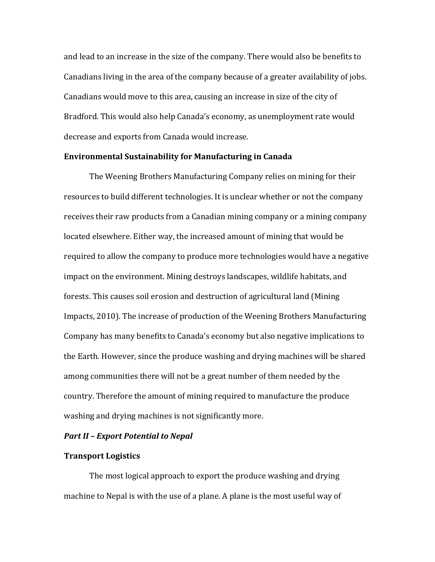and lead to an increase in the size of the company. There would also be benefits to Canadians living in the area of the company because of a greater availability of jobs. Canadians would move to this area, causing an increase in size of the city of Bradford. This would also help Canada's economy, as unemployment rate would decrease and exports from Canada would increase.

## **Environmental Sustainability for Manufacturing in Canada**

The Weening Brothers Manufacturing Company relies on mining for their resources to build different technologies. It is unclear whether or not the company receives their raw products from a Canadian mining company or a mining company located elsewhere. Either way, the increased amount of mining that would be required to allow the company to produce more technologies would have a negative impact on the environment. Mining destroys landscapes, wildlife habitats, and forests. This causes soil erosion and destruction of agricultural land (Mining Impacts, 2010). The increase of production of the Weening Brothers Manufacturing Company has many benefits to Canada's economy but also negative implications to the Earth. However, since the produce washing and drying machines will be shared among communities there will not be a great number of them needed by the country. Therefore the amount of mining required to manufacture the produce washing and drying machines is not significantly more.

#### *Part II – Export Potential to Nepal*

### **Transport Logistics**

The most logical approach to export the produce washing and drying machine to Nepal is with the use of a plane. A plane is the most useful way of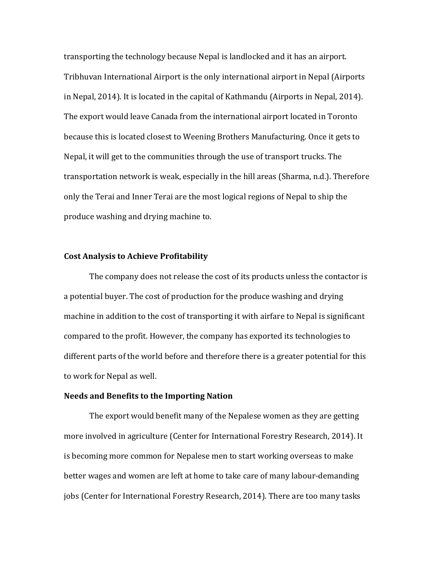transporting the technology because Nepal is landlocked and it has an airport. Tribhuvan International Airport is the only international airport in Nepal (Airports in Nepal, 2014). It is located in the capital of Kathmandu (Airports in Nepal, 2014). The export would leave Canada from the international airport located in Toronto because this is located closest to Weening Brothers Manufacturing. Once it gets to Nepal, it will get to the communities through the use of transport trucks. The transportation network is weak, especially in the hill areas (Sharma, n.d.). Therefore only the Terai and Inner Terai are the most logical regions of Nepal to ship the produce washing and drying machine to.

### **Cost Analysis to Achieve Profitability**

The company does not release the cost of its products unless the contactor is a potential buyer. The cost of production for the produce washing and drying machine in addition to the cost of transporting it with airfare to Nepal is significant compared to the profit. However, the company has exported its technologies to different parts of the world before and therefore there is a greater potential for this to work for Nepal as well.

# **Needs and Benefits to the Importing Nation**

The export would benefit many of the Nepalese women as they are getting more involved in agriculture (Center for International Forestry Research, 2014). It is becoming more common for Nepalese men to start working overseas to make better wages and women are left at home to take care of many labour-demanding jobs (Center for International Forestry Research, 2014). There are too many tasks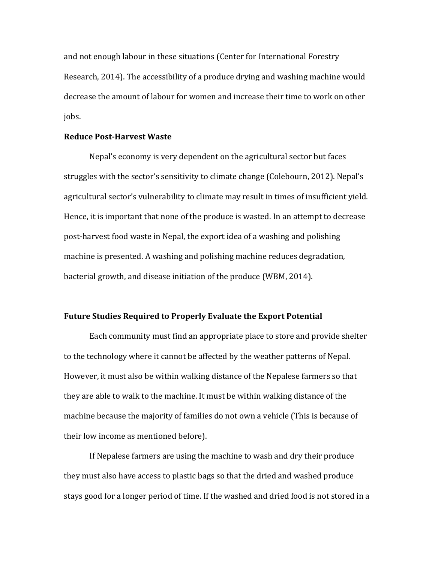and not enough labour in these situations (Center for International Forestry Research, 2014). The accessibility of a produce drying and washing machine would decrease the amount of labour for women and increase their time to work on other jobs. 

# **Reduce Post-Harvest Waste**

Nepal's economy is very dependent on the agricultural sector but faces struggles with the sector's sensitivity to climate change (Colebourn, 2012). Nepal's agricultural sector's vulnerability to climate may result in times of insufficient yield. Hence, it is important that none of the produce is wasted. In an attempt to decrease post-harvest food waste in Nepal, the export idea of a washing and polishing machine is presented. A washing and polishing machine reduces degradation, bacterial growth, and disease initiation of the produce (WBM, 2014).

# **Future Studies Required to Properly Evaluate the Export Potential**

Each community must find an appropriate place to store and provide shelter to the technology where it cannot be affected by the weather patterns of Nepal. However, it must also be within walking distance of the Nepalese farmers so that they are able to walk to the machine. It must be within walking distance of the machine because the majority of families do not own a vehicle (This is because of their low income as mentioned before).

If Nepalese farmers are using the machine to wash and dry their produce they must also have access to plastic bags so that the dried and washed produce stays good for a longer period of time. If the washed and dried food is not stored in a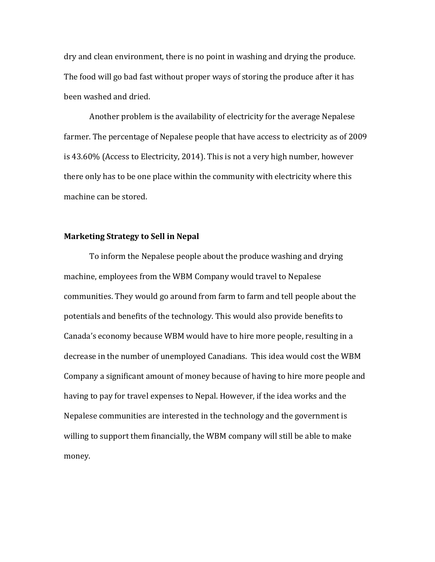dry and clean environment, there is no point in washing and drying the produce. The food will go bad fast without proper ways of storing the produce after it has been washed and dried.

Another problem is the availability of electricity for the average Nepalese farmer. The percentage of Nepalese people that have access to electricity as of 2009 is 43.60% (Access to Electricity, 2014). This is not a very high number, however there only has to be one place within the community with electricity where this machine can be stored.

## **Marketing Strategy to Sell in Nepal**

To inform the Nepalese people about the produce washing and drying machine, employees from the WBM Company would travel to Nepalese communities. They would go around from farm to farm and tell people about the potentials and benefits of the technology. This would also provide benefits to Canada's economy because WBM would have to hire more people, resulting in a decrease in the number of unemployed Canadians. This idea would cost the WBM Company a significant amount of money because of having to hire more people and having to pay for travel expenses to Nepal. However, if the idea works and the Nepalese communities are interested in the technology and the government is willing to support them financially, the WBM company will still be able to make money.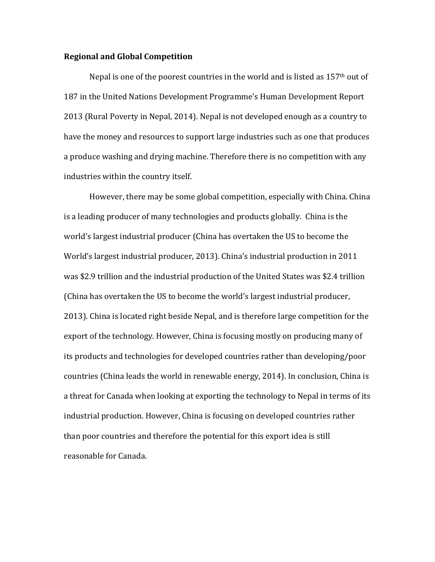### **Regional and Global Competition**

Nepal is one of the poorest countries in the world and is listed as  $157<sup>th</sup>$  out of 187 in the United Nations Development Programme's Human Development Report 2013 (Rural Poverty in Nepal, 2014). Nepal is not developed enough as a country to have the money and resources to support large industries such as one that produces a produce washing and drying machine. Therefore there is no competition with any industries within the country itself.

However, there may be some global competition, especially with China. China. is a leading producer of many technologies and products globally. China is the world's largest industrial producer (China has overtaken the US to become the World's largest industrial producer, 2013). China's industrial production in 2011 was \$2.9 trillion and the industrial production of the United States was \$2.4 trillion (China has overtaken the US to become the world's largest industrial producer, 2013). China is located right beside Nepal, and is therefore large competition for the export of the technology. However, China is focusing mostly on producing many of its products and technologies for developed countries rather than developing/poor countries (China leads the world in renewable energy, 2014). In conclusion, China is a threat for Canada when looking at exporting the technology to Nepal in terms of its industrial production. However, China is focusing on developed countries rather than poor countries and therefore the potential for this export idea is still reasonable for Canada.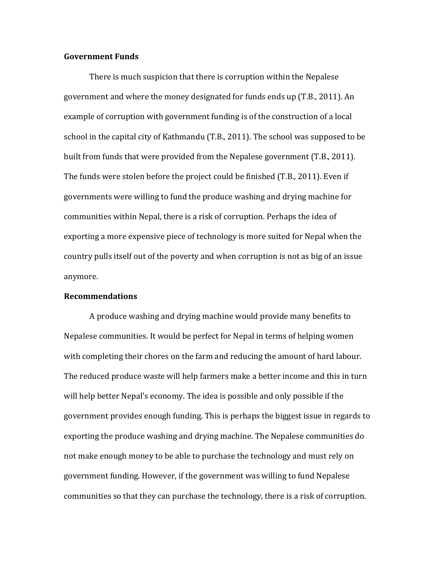### **Government Funds**

There is much suspicion that there is corruption within the Nepalese government and where the money designated for funds ends up (T.B., 2011). An example of corruption with government funding is of the construction of a local school in the capital city of Kathmandu (T.B., 2011). The school was supposed to be built from funds that were provided from the Nepalese government (T.B., 2011). The funds were stolen before the project could be finished  $(T.B., 2011)$ . Even if governments were willing to fund the produce washing and drying machine for communities within Nepal, there is a risk of corruption. Perhaps the idea of exporting a more expensive piece of technology is more suited for Nepal when the country pulls itself out of the poverty and when corruption is not as big of an issue anymore. 

#### **Recommendations**

A produce washing and drying machine would provide many benefits to Nepalese communities. It would be perfect for Nepal in terms of helping women with completing their chores on the farm and reducing the amount of hard labour. The reduced produce waste will help farmers make a better income and this in turn will help better Nepal's economy. The idea is possible and only possible if the government provides enough funding. This is perhaps the biggest issue in regards to exporting the produce washing and drying machine. The Nepalese communities do not make enough money to be able to purchase the technology and must rely on government funding. However, if the government was willing to fund Nepalese communities so that they can purchase the technology, there is a risk of corruption.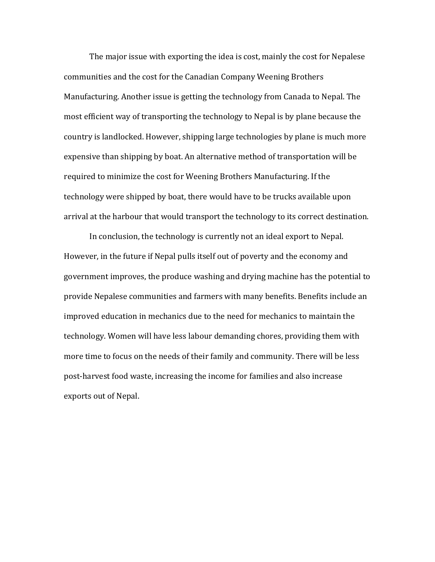The major issue with exporting the idea is cost, mainly the cost for Nepalese communities and the cost for the Canadian Company Weening Brothers Manufacturing. Another issue is getting the technology from Canada to Nepal. The most efficient way of transporting the technology to Nepal is by plane because the country is landlocked. However, shipping large technologies by plane is much more expensive than shipping by boat. An alternative method of transportation will be required to minimize the cost for Weening Brothers Manufacturing. If the technology were shipped by boat, there would have to be trucks available upon arrival at the harbour that would transport the technology to its correct destination.

In conclusion, the technology is currently not an ideal export to Nepal. However, in the future if Nepal pulls itself out of poverty and the economy and government improves, the produce washing and drying machine has the potential to provide Nepalese communities and farmers with many benefits. Benefits include an improved education in mechanics due to the need for mechanics to maintain the technology. Women will have less labour demanding chores, providing them with more time to focus on the needs of their family and community. There will be less post-harvest food waste, increasing the income for families and also increase exports out of Nepal.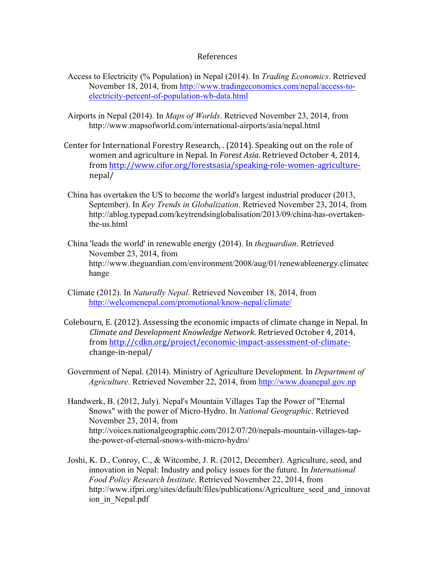### References

- Access to Electricity (% Population) in Nepal (2014). In *Trading Economics*. Retrieved November 18, 2014, from http://www.tradingeconomics.com/nepal/access-toelectricity-percent-of-population-wb-data.html
- Airports in Nepal (2014). In *Maps of Worlds*. Retrieved November 23, 2014, from http://www.mapsofworld.com/international-airports/asia/nepal.html
- Center for International Forestry Research,  $(2014)$ . Speaking out on the role of women and agriculture in Nepal. In *Forest Asia*. Retrieved October 4, 2014, from http://www.cifor.org/forestsasia/speaking-role-women-agriculturenepal/
- China has overtaken the US to become the world's largest industrial producer (2013, September). In *Key Trends in Globalization*. Retrieved November 23, 2014, from http://ablog.typepad.com/keytrendsinglobalisation/2013/09/china-has-overtakenthe-us.html
- China 'leads the world' in renewable energy (2014). In *theguardian*. Retrieved November 23, 2014, from http://www.theguardian.com/environment/2008/aug/01/renewableenergy.climatec hange
- Climate (2012). In *Naturally Nepal*. Retrieved November 18, 2014, from http://welcomenepal.com/promotional/know-nepal/climate/
- Colebourn, E. (2012). Assessing the economic impacts of climate change in Nepal. In *Climate and Development Knowledge Network*. Retrieved October 4, 2014, from http://cdkn.org/project/economic-impact-assessment-of-climatechange-in-nepal/
- Government of Nepal. (2014). Ministry of Agriculture Development. In *Department of Agriculture*. Retrieved November 22, 2014, from http://www.doanepal.gov.np
- Handwerk, B. (2012, July). Nepal's Mountain Villages Tap the Power of "Eternal Snows" with the power of Micro-Hydro. In *National Geographic*. Retrieved November 23, 2014, from http://voices.nationalgeographic.com/2012/07/20/nepals-mountain-villages-tapthe-power-of-eternal-snows-with-micro-hydro/
- Joshi, K. D., Conroy, C., & Witcombe, J. R. (2012, December). Agriculture, seed, and innovation in Nepal: Industry and policy issues for the future. In *International Food Policy Research Institute*. Retrieved November 22, 2014, from http://www.ifpri.org/sites/default/files/publications/Agriculture seed and innovat ion in Nepal.pdf